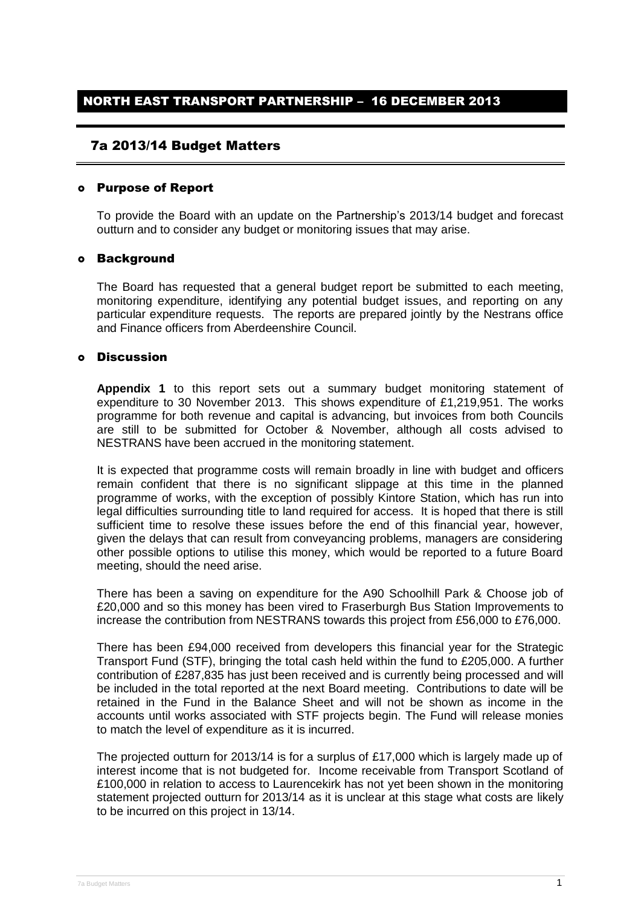### 7a 2013/14 Budget Matters

#### Purpose of Report

To provide the Board with an update on the Partnership's 2013/14 budget and forecast outturn and to consider any budget or monitoring issues that may arise.

#### Background

The Board has requested that a general budget report be submitted to each meeting, monitoring expenditure, identifying any potential budget issues, and reporting on any particular expenditure requests. The reports are prepared jointly by the Nestrans office and Finance officers from Aberdeenshire Council.

#### Discussion

**Appendix 1** to this report sets out a summary budget monitoring statement of expenditure to 30 November 2013. This shows expenditure of £1,219,951. The works programme for both revenue and capital is advancing, but invoices from both Councils are still to be submitted for October & November, although all costs advised to NESTRANS have been accrued in the monitoring statement.

It is expected that programme costs will remain broadly in line with budget and officers remain confident that there is no significant slippage at this time in the planned programme of works, with the exception of possibly Kintore Station, which has run into legal difficulties surrounding title to land required for access. It is hoped that there is still sufficient time to resolve these issues before the end of this financial year, however, given the delays that can result from conveyancing problems, managers are considering other possible options to utilise this money, which would be reported to a future Board meeting, should the need arise.

There has been a saving on expenditure for the A90 Schoolhill Park & Choose job of £20,000 and so this money has been vired to Fraserburgh Bus Station Improvements to increase the contribution from NESTRANS towards this project from £56,000 to £76,000.

There has been £94,000 received from developers this financial year for the Strategic Transport Fund (STF), bringing the total cash held within the fund to £205,000. A further contribution of £287,835 has just been received and is currently being processed and will be included in the total reported at the next Board meeting. Contributions to date will be retained in the Fund in the Balance Sheet and will not be shown as income in the accounts until works associated with STF projects begin. The Fund will release monies to match the level of expenditure as it is incurred.

The projected outturn for 2013/14 is for a surplus of £17,000 which is largely made up of interest income that is not budgeted for. Income receivable from Transport Scotland of £100,000 in relation to access to Laurencekirk has not yet been shown in the monitoring statement projected outturn for 2013/14 as it is unclear at this stage what costs are likely to be incurred on this project in 13/14.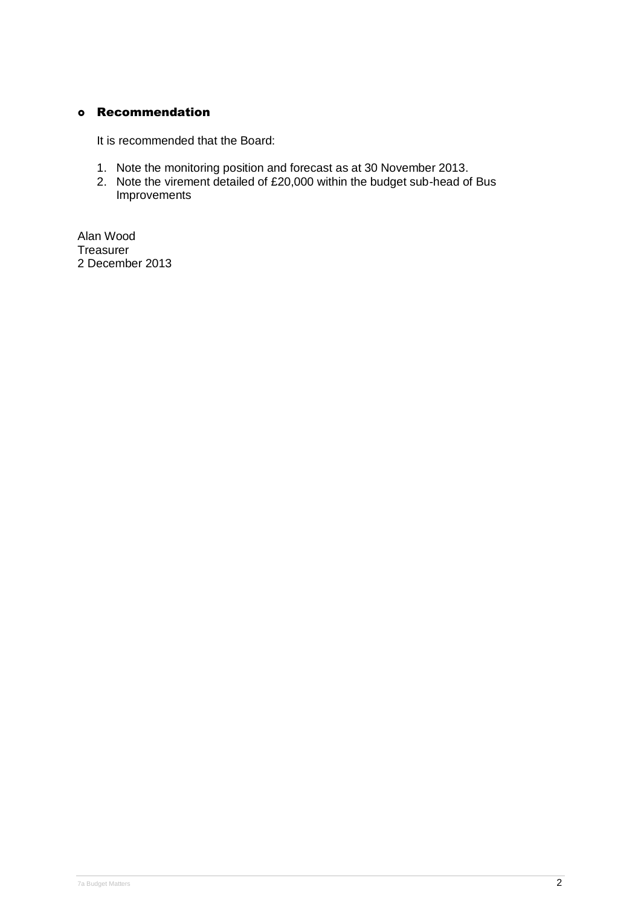## Recommendation

It is recommended that the Board:

- 1. Note the monitoring position and forecast as at 30 November 2013.
- 2. Note the virement detailed of £20,000 within the budget sub-head of Bus Improvements

Alan Wood **Treasurer** 2 December 2013